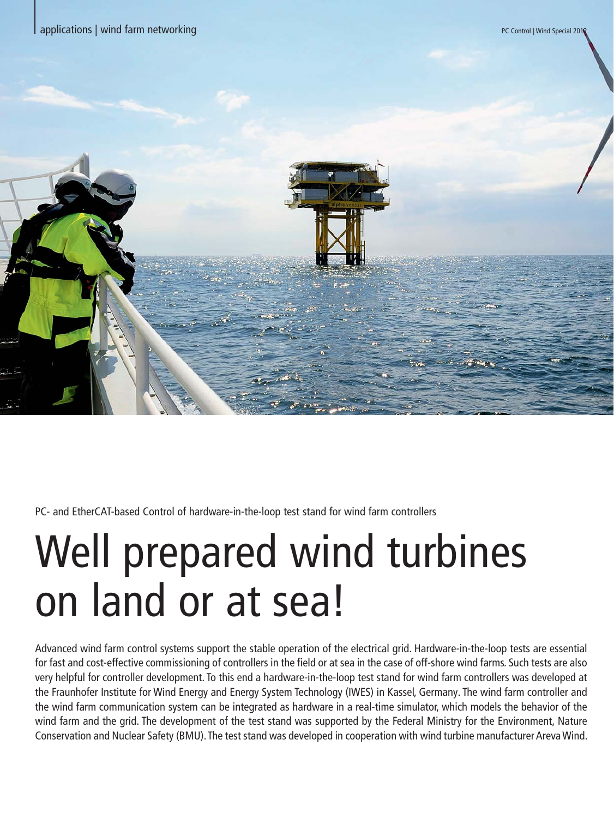

PC- and EtherCAT-based Control of hardware-in-the-loop test stand for wind farm controllers

# Well prepared wind turbines on land or at sea!

Advanced wind farm control systems support the stable operation of the electrical grid. Hardware-in-the-loop tests are essential for fast and cost-effective commissioning of controllers in the field or at sea in the case of off-shore wind farms. Such tests are also very helpful for controller development. To this end a hardware-in-the-loop test stand for wind farm controllers was developed at the Fraunhofer Institute for Wind Energy and Energy System Technology (IWES) in Kassel, Germany. The wind farm controller and the wind farm communication system can be integrated as hardware in a real-time simulator, which models the behavior of the wind farm and the grid. The development of the test stand was supported by the Federal Ministry for the Environment, Nature Conservation and Nuclear Safety (BMU). The test stand was developed in cooperation with wind turbine manufacturer Areva Wind.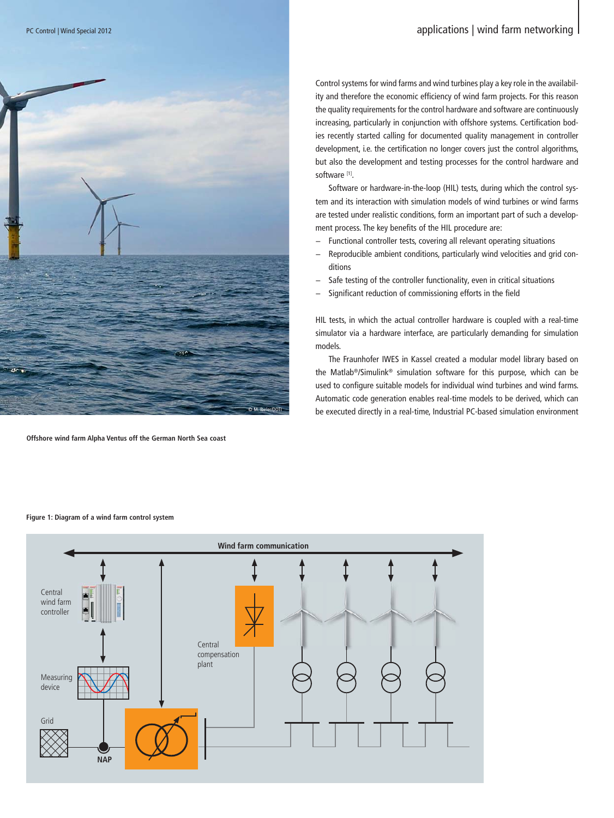

**Offshore wind farm Alpha Ventus off the German North Sea coast**

Control systems for wind farms and wind turbines play a key role in the availability and therefore the economic efficiency of wind farm projects. For this reason the quality requirements for the control hardware and software are continuously increasing, particularly in conjunction with offshore systems. Certification bodies recently started calling for documented quality management in controller development, i.e. the certification no longer covers just the control algorithms, but also the development and testing processes for the control hardware and software [1].

 Software or hardware-in-the-loop (HIL) tests, during which the control system and its interaction with simulation models of wind turbines or wind farms are tested under realistic conditions, form an important part of such a development process. The key benefits of the HIL procedure are:

- − Functional controller tests, covering all relevant operating situations
- − Reproducible ambient conditions, particularly wind velocities and grid conditions
- Safe testing of the controller functionality, even in critical situations
- Significant reduction of commissioning efforts in the field

HIL tests, in which the actual controller hardware is coupled with a real-time simulator via a hardware interface, are particularly demanding for simulation models.

 The Fraunhofer IWES in Kassel created a modular model library based on the Matlab®/Simulink® simulation software for this purpose, which can be used to configure suitable models for individual wind turbines and wind farms. Automatic code generation enables real-time models to be derived, which can be executed directly in a real-time, Industrial PC-based simulation environment



#### **Figure 1: Diagram of a wind farm control system**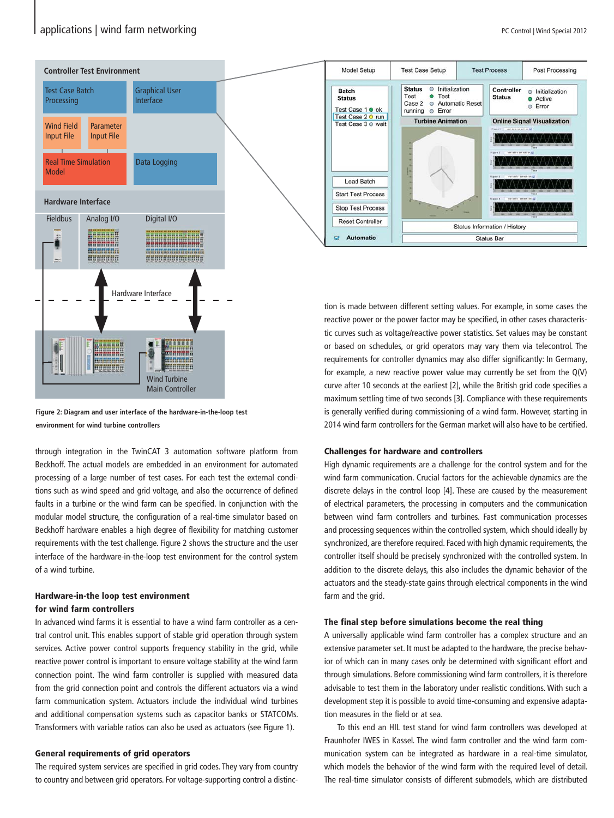



through integration in the TwinCAT 3 automation software platform from Beckhoff. The actual models are embedded in an environment for automated processing of a large number of test cases. For each test the external conditions such as wind speed and grid voltage, and also the occurrence of defined faults in a turbine or the wind farm can be specified. In conjunction with the modular model structure, the configuration of a real-time simulator based on Beckhoff hardware enables a high degree of flexibility for matching customer requirements with the test challenge. Figure 2 shows the structure and the user interface of the hardware-in-the-loop test environment for the control system of a wind turbine.

## Hardware-in-the loop test environment for wind farm controllers

In advanced wind farms it is essential to have a wind farm controller as a central control unit. This enables support of stable grid operation through system services. Active power control supports frequency stability in the grid, while reactive power control is important to ensure voltage stability at the wind farm connection point. The wind farm controller is supplied with measured data from the grid connection point and controls the different actuators via a wind farm communication system. Actuators include the individual wind turbines and additional compensation systems such as capacitor banks or STATCOMs. Transformers with variable ratios can also be used as actuators (see Figure 1).

#### General requirements of grid operators

The required system services are specified in grid codes. They vary from country to country and between grid operators. For voltage-supporting control a distinc-



tion is made between different setting values. For example, in some cases the reactive power or the power factor may be specified, in other cases characteristic curves such as voltage/reactive power statistics. Set values may be constant or based on schedules, or grid operators may vary them via telecontrol. The requirements for controller dynamics may also differ significantly: In Germany, for example, a new reactive power value may currently be set from the Q(V) curve after 10 seconds at the earliest [2], while the British grid code specifies a maximum settling time of two seconds [3]. Compliance with these requirements is generally verified during commissioning of a wind farm. However, starting in 2014 wind farm controllers for the German market will also have to be certified.

#### Challenges for hardware and controllers

High dynamic requirements are a challenge for the control system and for the wind farm communication. Crucial factors for the achievable dynamics are the discrete delays in the control loop [4]. These are caused by the measurement of electrical parameters, the processing in computers and the communication between wind farm controllers and turbines. Fast communication processes and processing sequences within the controlled system, which should ideally by synchronized, are therefore required. Faced with high dynamic requirements, the controller itself should be precisely synchronized with the controlled system. In addition to the discrete delays, this also includes the dynamic behavior of the actuators and the steady-state gains through electrical components in the wind farm and the grid.

### The final step before simulations become the real thing

A universally applicable wind farm controller has a complex structure and an extensive parameter set. It must be adapted to the hardware, the precise behavior of which can in many cases only be determined with significant effort and through simulations. Before commissioning wind farm controllers, it is therefore advisable to test them in the laboratory under realistic conditions. With such a development step it is possible to avoid time-consuming and expensive adaptation measures in the field or at sea.

 To this end an HIL test stand for wind farm controllers was developed at Fraunhofer IWES in Kassel. The wind farm controller and the wind farm communication system can be integrated as hardware in a real-time simulator, which models the behavior of the wind farm with the required level of detail. The real-time simulator consists of different submodels, which are distributed